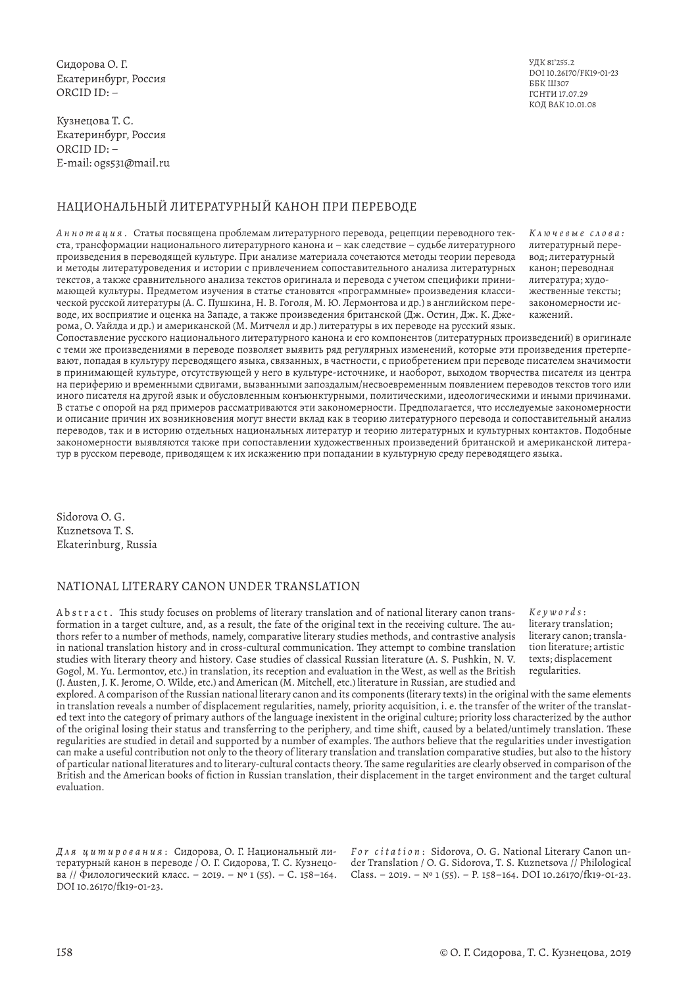Сидорова О. Г. Екатеринбург, Россия ORCID ID: –

Кузнецова Т. С. Екатеринбург, Россия ORCID ID: – E-mail: ogs531@mail.ru

# НАЦИОНАЛЬНЫЙ ЛИТЕРАТУРНЫЙ КАНОН ПРИ ПЕРЕВОДЕ

*Аннотация.* Статья посвящена проблемам литературного перевода, рецепции переводного текста, трансформации национального литературного канона и – как следствие – судьбе литературного произведения в переводящей культуре. При анализе материала сочетаются методы теории перевода и методы литературоведения и истории с привлечением сопоставительного анализа литературных текстов, а также сравнительного анализа текстов оригинала и перевода с учетом специфики принимающей культуры. Предметом изучения в статье становятся «программные» произведения классической русской литературы (А. С. Пушкина, Н. В. Гоголя, М. Ю. Лермонтова и др.) в английском переводе, их восприятие и оценка на Западе, а также произведения британской (Дж. Остин, Дж. К. Джерома, О. Уайлда и др.) и американской (М. Митчелл и др.) литературы в их переводе на русский язык.

УДК 81'255.2 DOI 10.26170/FK19-01-23 ББК Ш307 ГСНТИ 17.07.29 КОД ВАК 10.01.08

*К л ю ч е в ы е с л о в а :*  литературный перевод; литературный канон; переводная литература; художественные тексты; закономерности искажений.

Сопоставление русского национального литературного канона и его компонентов (литературных произведений) в оригинале с теми же произведениями в переводе позволяет выявить ряд регулярных изменений, которые эти произведения претерпевают, попадая в культуру переводящего языка, связанных, в частности, с приобретением при переводе писателем значимости в принимающей культуре, отсутствующей у него в культуре-источнике, и наоборот, выходом творчества писателя из центра на периферию и временными сдвигами, вызванными запоздалым/несвоевременным появлением переводов текстов того или иного писателя на другой язык и обусловленным конъюнктурными, политическими, идеологическими и иными причинами. В статье с опорой на ряд примеров рассматриваются эти закономерности. Предполагается, что исследуемые закономерности и описание причин их возникновения могут внести вклад как в теорию литературного перевода и сопоставительный анализ переводов, так и в историю отдельных национальных литератур и теорию литературных и культурных контактов. Подобные закономерности выявляются также при сопоставлении художественных произведений британской и американской литератур в русском переводе, приводящем к их искажению при попадании в культурную среду переводящего языка.

Sidorova O. G. Kuznetsova T. S. Ekaterinburg, Russia

# NATIONAL LITERARY CANON UNDER TRANSLATION

Abstract. This study focuses on problems of literary translation and of national literary canon transformation in a target culture, and, as a result, the fate of the original text in the receiving culture. The authors refer to a number of methods, namely, comparative literary studies methods, and contrastive analysis in national translation history and in cross-cultural communication. They attempt to combine translation studies with literary theory and history. Case studies of classical Russian literature (A. S. Pushkin, N. V. Gogol, M. Yu. Lermontov, etc.) in translation, its reception and evaluation in the West, as well as the British (J. Austen, J. K. Jerome, O. Wilde, etc.) and American (M. Mitchell, etc.) literature in Russian, are studied and

*Keywords* : literary translation; literary canon; translation literature; artistic texts; displacement regularities.

explored. A comparison of the Russian national literary canon and its components (literary texts) in the original with the same elements in translation reveals a number of displacement regularities, namely, priority acquisition, i. e. the transfer of the writer of the translated text into the category of primary authors of the language inexistent in the original culture; priority loss characterized by the author of the original losing their status and transferring to the periphery, and time shift, caused by a belated/untimely translation. These regularities are studied in detail and supported by a number of examples. The authors believe that the regularities under investigation can make a useful contribution not only to the theory of literary translation and translation comparative studies, but also to the history of particular national literatures and to literary-cultural contacts theory. The same regularities are clearly observed in comparison of the British and the American books of fiction in Russian translation, their displacement in the target environment and the target cultural evaluation.

*Для цитирования* : Сидорова, О. Г. Национальный литературный канон в переводе / О. Г. Сидорова, Т. С. Кузнецова // Филологический класс. – 2019. – № 1 (55). – С. 158–164. DOI 10.26170/fk19-01-23.

*For citation* : Sidorova, O. G. National Literary Canon under Translation / O. G. Sidorova, T. S. Kuznetsova // Philological Class. – 2019. – № 1 (55). – P. 158–164. DOI 10.26170/fk19-01-23.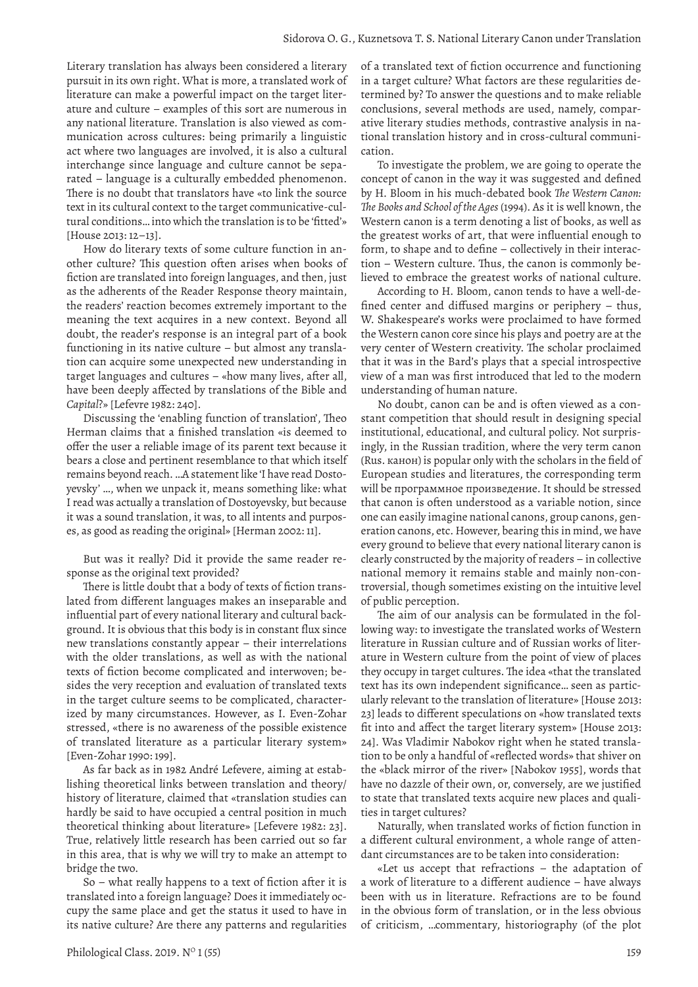Literary translation has always been considered a literary pursuit in its own right. What is more, a translated work of literature can make a powerful impact on the target literature and culture – examples of this sort are numerous in any national literature. Translation is also viewed as communication across cultures: being primarily a linguistic act where two languages are involved, it is also a cultural interchange since language and culture cannot be separated – language is a culturally embedded phenomenon. There is no doubt that translators have «to link the source text in its cultural context to the target communicative-cultural conditions… into which the translation is to be 'fitted'» [House 2013: 12–13].

How do literary texts of some culture function in another culture? This question often arises when books of fiction are translated into foreign languages, and then, just as the adherents of the Reader Response theory maintain, the readers' reaction becomes extremely important to the meaning the text acquires in a new context. Beyond all doubt, the reader's response is an integral part of a book functioning in its native culture – but almost any translation can acquire some unexpected new understanding in target languages and cultures – «how many lives, after all, have been deeply affected by translations of the Bible and *Capital*?» [Lefevre 1982: 240].

Discussing the 'enabling function of translation', Theo Herman claims that a finished translation «is deemed to offer the user a reliable image of its parent text because it bears a close and pertinent resemblance to that which itself remains beyond reach. …A statement like 'I have read Dostoyevsky' …, when we unpack it, means something like: what I read was actually a translation of Dostoyevsky, but because it was a sound translation, it was, to all intents and purposes, as good as reading the original» [Herman 2002: 11].

But was it really? Did it provide the same reader response as the original text provided?

There is little doubt that a body of texts of fiction translated from different languages makes an inseparable and influential part of every national literary and cultural background. It is obvious that this body is in constant flux since new translations constantly appear – their interrelations with the older translations, as well as with the national texts of fiction become complicated and interwoven; besides the very reception and evaluation of translated texts in the target culture seems to be complicated, characterized by many circumstances. However, as I. Even-Zohar stressed, «there is no awareness of the possible existence of translated literature as a particular literary system» [Even-Zohar 1990: 199].

As far back as in 1982 André Lefevere, aiming at establishing theoretical links between translation and theory/ history of literature, claimed that «translation studies can hardly be said to have occupied a central position in much theoretical thinking about literature» [Lefevere 1982: 23]. True, relatively little research has been carried out so far in this area, that is why we will try to make an attempt to bridge the two.

So – what really happens to a text of fiction after it is translated into a foreign language? Does it immediately occupy the same place and get the status it used to have in its native culture? Are there any patterns and regularities

of a translated text of fiction occurrence and functioning in a target culture? What factors are these regularities determined by? To answer the questions and to make reliable conclusions, several methods are used, namely, comparative literary studies methods, contrastive analysis in national translation history and in cross-cultural communication.

To investigate the problem, we are going to operate the concept of canon in the way it was suggested and defined by H. Bloom in his much-debated book *The Western Canon: The Books and School of the Ages* (1994). As it is well known, the Western canon is a term denoting a list of books, as well as the greatest works of art, that were influential enough to form, to shape and to define – collectively in their interaction – Western culture. Thus, the canon is commonly believed to embrace the greatest works of national culture.

According to H. Bloom, canon tends to have a well-defined center and diffused margins or periphery – thus, W. Shakespeare's works were proclaimed to have formed the Western canon core since his plays and poetry are at the very center of Western creativity. The scholar proclaimed that it was in the Bard's plays that a special introspective view of a man was first introduced that led to the modern understanding of human nature.

No doubt, canon can be and is often viewed as a constant competition that should result in designing special institutional, educational, and cultural policy. Not surprisingly, in the Russian tradition, where the very term canon (Rus. канон) is popular only with the scholars in the field of European studies and literatures, the corresponding term will be программное произведение. It should be stressed that canon is often understood as a variable notion, since one can easily imagine national canons, group canons, generation canons, etc. However, bearing this in mind, we have every ground to believe that every national literary canon is clearly constructed by the majority of readers – in collective national memory it remains stable and mainly non-controversial, though sometimes existing on the intuitive level of public perception.

The aim of our analysis can be formulated in the following way: to investigate the translated works of Western literature in Russian culture and of Russian works of literature in Western culture from the point of view of places they occupy in target cultures. The idea «that the translated text has its own independent significance… seen as particularly relevant to the translation of literature» [House 2013: 23] leads to different speculations on «how translated texts fit into and affect the target literary system» [House 2013: 24]. Was Vladimir Nabokov right when he stated translation to be only a handful of «reflected words» that shiver on the «black mirror of the river» [Nabokov 1955], words that have no dazzle of their own, or, conversely, are we justified to state that translated texts acquire new places and qualities in target cultures?

Naturally, when translated works of fiction function in a different cultural environment, a whole range of attendant circumstances are to be taken into consideration:

«Let us accept that refractions – the adaptation of a work of literature to a different audience – have always been with us in literature. Refractions are to be found in the obvious form of translation, or in the less obvious of criticism, …commentary, historiography (of the plot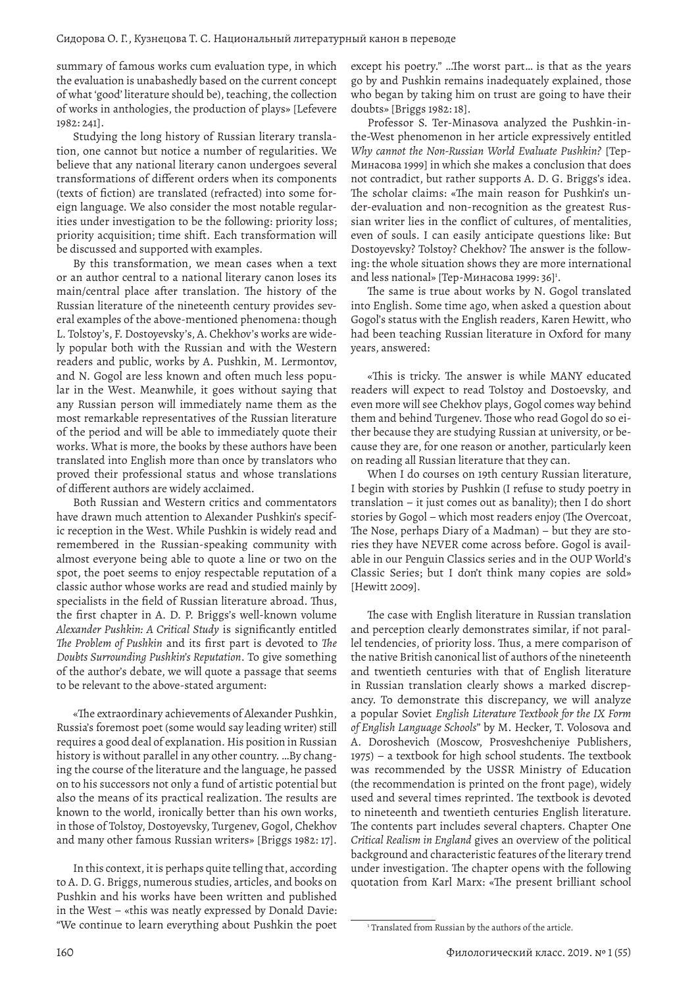summary of famous works cum evaluation type, in which the evaluation is unabashedly based on the current concept of what 'good' literature should be), teaching, the collection of works in anthologies, the production of plays» [Lefevere 1982: 241].

Studying the long history of Russian literary translation, one cannot but notice a number of regularities. We believe that any national literary canon undergoes several transformations of different orders when its components (texts of fiction) are translated (refracted) into some foreign language. We also consider the most notable regularities under investigation to be the following: priority loss; priority acquisition; time shift. Each transformation will be discussed and supported with examples.

By this transformation, we mean cases when a text or an author central to a national literary canon loses its main/central place after translation. The history of the Russian literature of the nineteenth century provides several examples of the above-mentioned phenomena: though L. Tolstoy's, F. Dostoyevsky's, A. Chekhov's works are widely popular both with the Russian and with the Western readers and public, works by A. Pushkin, M. Lermontov, and N. Gogol are less known and often much less popular in the West. Meanwhile, it goes without saying that any Russian person will immediately name them as the most remarkable representatives of the Russian literature of the period and will be able to immediately quote their works. What is more, the books by these authors have been translated into English more than once by translators who proved their professional status and whose translations of different authors are widely acclaimed.

Both Russian and Western critics and commentators have drawn much attention to Alexander Pushkin's specific reception in the West. While Pushkin is widely read and remembered in the Russian-speaking community with almost everyone being able to quote a line or two on the spot, the poet seems to enjoy respectable reputation of a classic author whose works are read and studied mainly by specialists in the field of Russian literature abroad. Thus, the first chapter in A. D. P. Briggs's well-known volume *Alexander Pushkin: A Critical Study* is significantly entitled *The Problem of Pushkin* and its first part is devoted to *The Doubts Surrounding Pushkin's Reputation*. To give something of the author's debate, we will quote a passage that seems to be relevant to the above-stated argument:

«The extraordinary achievements of Alexander Pushkin, Russia's foremost poet (some would say leading writer) still requires a good deal of explanation. His position in Russian history is without parallel in any other country. …By changing the course of the literature and the language, he passed on to his successors not only a fund of artistic potential but also the means of its practical realization. The results are known to the world, ironically better than his own works, in those of Tolstoy, Dostoyevsky, Turgenev, Gogol, Chekhov and many other famous Russian writers» [Briggs 1982: 17].

In this context, it is perhaps quite telling that, according to A. D. G. Briggs, numerous studies, articles, and books on Pushkin and his works have been written and published in the West – «this was neatly expressed by Donald Davie: "We continue to learn everything about Pushkin the poet except his poetry." …The worst part… is that as the years go by and Pushkin remains inadequately explained, those who began by taking him on trust are going to have their doubts» [Briggs 1982: 18].

Professor S. Ter-Minasova analyzed the Pushkin-inthe-West phenomenon in her article expressively entitled *Why cannot the Non-Russian World Evaluate Pushkin?* [Тер-Минасова 1999] in which she makes a conclusion that does not contradict, but rather supports A. D. G. Briggs's idea. The scholar claims: «The main reason for Pushkin's under-evaluation and non-recognition as the greatest Russian writer lies in the conflict of cultures, of mentalities, even of souls. I can easily anticipate questions like: But Dostoyevsky? Tolstoy? Chekhov? The answer is the following: the whole situation shows they are more international and less national» [Тер-Минасова 1999: 36]<sup>1</sup>.

The same is true about works by N. Gogol translated into English. Some time ago, when asked a question about Gogol's status with the English readers, Karen Hewitt, who had been teaching Russian literature in Oxford for many years, answered:

«This is tricky. The answer is while MANY educated readers will expect to read Tolstoy and Dostoevsky, and even more will see Chekhov plays, Gogol comes way behind them and behind Turgenev. Those who read Gogol do so either because they are studying Russian at university, or because they are, for one reason or another, particularly keen on reading all Russian literature that they can.

When I do courses on 19th century Russian literature, I begin with stories by Pushkin (I refuse to study poetry in translation – it just comes out as banality); then I do short stories by Gogol – which most readers enjoy (The Overcoat, The Nose, perhaps Diary of a Madman) – but they are stories they have NEVER come across before. Gogol is available in our Penguin Classics series and in the OUP World's Classic Series; but I don't think many copies are sold» [Hewitt 2009].

The case with English literature in Russian translation and perception clearly demonstrates similar, if not parallel tendencies, of priority loss. Thus, a mere comparison of the native British canonical list of authors of the nineteenth and twentieth centuries with that of English literature in Russian translation clearly shows a marked discrepancy. To demonstrate this discrepancy, we will analyze a popular Soviet *English Literature Textbook for the IX Form of English Language Schools*" by M. Hecker, T. Volosova and A. Doroshevich (Moscow, Prosveshcheniye Publishers, 1975) – a textbook for high school students. The textbook was recommended by the USSR Ministry of Education (the recommendation is printed on the front page), widely used and several times reprinted. The textbook is devoted to nineteenth and twentieth centuries English literature. The contents part includes several chapters. Chapter One *Critical Realism in England* gives an overview of the political background and characteristic features of the literary trend under investigation. The chapter opens with the following quotation from Karl Marx: «The present brilliant school

<sup>&</sup>lt;sup>1</sup> Translated from Russian by the authors of the article.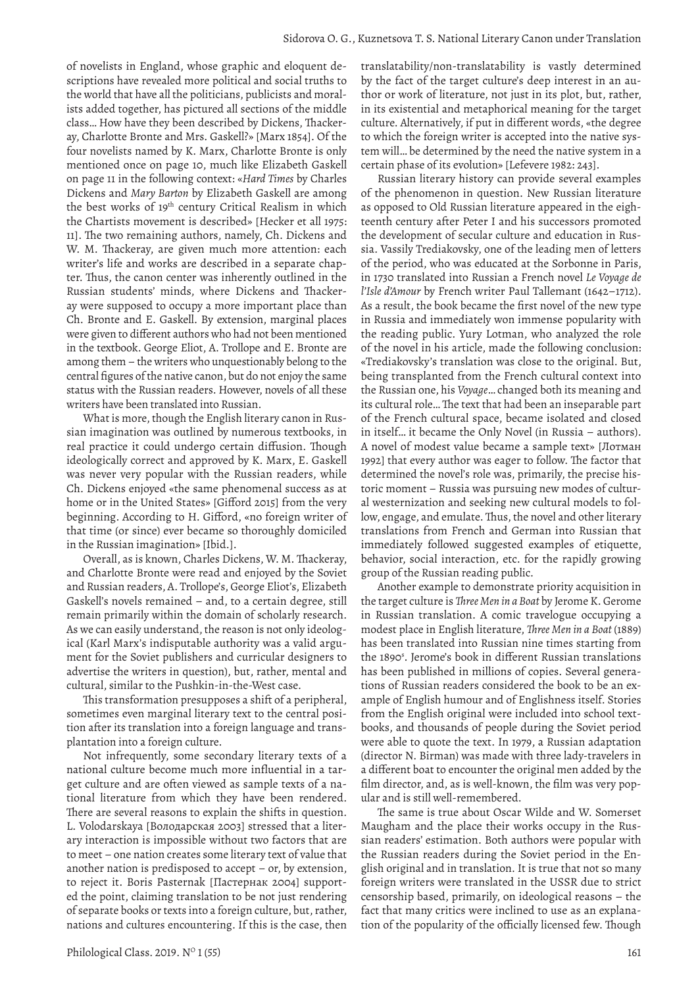of novelists in England, whose graphic and eloquent descriptions have revealed more political and social truths to the world that have all the politicians, publicists and moralists added together, has pictured all sections of the middle class… How have they been described by Dickens, Thackeray, Charlotte Bronte and Mrs. Gaskell?» [Marx 1854]. Of the four novelists named by K. Marx, Charlotte Bronte is only mentioned once on page 10, much like Elizabeth Gaskell on page 11 in the following context: «*Hard Times* by Charles Dickens and *Mary Barton* by Elizabeth Gaskell are among the best works of 19<sup>th</sup> century Critical Realism in which the Chartists movement is described» [Hecker et all 1975: 11]. The two remaining authors, namely, Ch. Dickens and W. M. Thackeray, are given much more attention: each writer's life and works are described in a separate chapter. Thus, the canon center was inherently outlined in the Russian students' minds, where Dickens and Thackeray were supposed to occupy a more important place than Ch. Bronte and E. Gaskell. By extension, marginal places were given to different authors who had not been mentioned in the textbook. George Eliot, A. Trollope and E. Bronte are among them – the writers who unquestionably belong to the central figures of the native canon, but do not enjoy the same status with the Russian readers. However, novels of all these writers have been translated into Russian.

What is more, though the English literary canon in Russian imagination was outlined by numerous textbooks, in real practice it could undergo certain diffusion. Though ideologically correct and approved by K. Marx, E. Gaskell was never very popular with the Russian readers, while Ch. Dickens enjoyed «the same phenomenal success as at home or in the United States» [Gifford 2015] from the very beginning. According to H. Gifford, «no foreign writer of that time (or since) ever became so thoroughly domiciled in the Russian imagination» [Ibid.].

Overall, as is known, Charles Dickens, W. M. Thackeray, and Charlotte Bronte were read and enjoyed by the Soviet and Russian readers, A. Trollope's, George Eliot's, Elizabeth Gaskell's novels remained – and, to a certain degree, still remain primarily within the domain of scholarly research. As we can easily understand, the reason is not only ideological (Karl Marx's indisputable authority was a valid argument for the Soviet publishers and curricular designers to advertise the writers in question), but, rather, mental and cultural, similar to the Pushkin-in-the-West case.

This transformation presupposes a shift of a peripheral, sometimes even marginal literary text to the central position after its translation into a foreign language and transplantation into a foreign culture.

Not infrequently, some secondary literary texts of a national culture become much more influential in a target culture and are often viewed as sample texts of a national literature from which they have been rendered. There are several reasons to explain the shifts in question. L. Volodarskaya [Володарская 2003] stressed that a literary interaction is impossible without two factors that are to meet – one nation creates some literary text of value that another nation is predisposed to accept – or, by extension, to reject it. Boris Pasternak [Пастернак 2004] supported the point, claiming translation to be not just rendering of separate books or texts into a foreign culture, but, rather, nations and cultures encountering. If this is the case, then

translatability/non-translatability is vastly determined by the fact of the target culture's deep interest in an author or work of literature, not just in its plot, but, rather, in its existential and metaphorical meaning for the target culture. Alternatively, if put in different words, «the degree to which the foreign writer is accepted into the native system will… be determined by the need the native system in a certain phase of its evolution» [Lefevere 1982: 243].

Russian literary history can provide several examples of the phenomenon in question. New Russian literature as opposed to Old Russian literature appeared in the eighteenth century after Peter I and his successors promoted the development of secular culture and education in Russia. Vassily Trediakovsky, one of the leading men of letters of the period, who was educated at the Sorbonne in Paris, in 1730 translated into Russian a French novel *Le Voyage de l'Isle d'Amour* by French writer Paul Tallemant (1642–1712). As a result, the book became the first novel of the new type in Russia and immediately won immense popularity with the reading public. Yury Lotman, who analyzed the role of the novel in his article, made the following conclusion: «Trediakovsky's translation was close to the original. But, being transplanted from the French cultural context into the Russian one, his *Voyage*… changed both its meaning and its cultural role… The text that had been an inseparable part of the French cultural space, became isolated and closed in itself… it became the Only Novel (in Russia – authors). A novel of modest value became a sample text» [Лотман 1992] that every author was eager to follow. The factor that determined the novel's role was, primarily, the precise historic moment – Russia was pursuing new modes of cultural westernization and seeking new cultural models to follow, engage, and emulate. Thus, the novel and other literary translations from French and German into Russian that immediately followed suggested examples of etiquette, behavior, social interaction, etc. for the rapidly growing group of the Russian reading public.

Another example to demonstrate priority acquisition in the target culture is *Three Men in a Boat* by Jerome K. Gerome in Russian translation. A comic travelogue occupying a modest place in English literature, *Three Men in a Boat* (1889) has been translated into Russian nine times starting from the 1890<sup>s</sup>. Jerome's book in different Russian translations has been published in millions of copies. Several generations of Russian readers considered the book to be an example of English humour and of Englishness itself. Stories from the English original were included into school textbooks, and thousands of people during the Soviet period were able to quote the text. In 1979, a Russian adaptation (director N. Birman) was made with three lady-travelers in a different boat to encounter the original men added by the film director, and, as is well-known, the film was very popular and is still well-remembered.

The same is true about Oscar Wilde and W. Somerset Maugham and the place their works occupy in the Russian readers' estimation. Both authors were popular with the Russian readers during the Soviet period in the English original and in translation. It is true that not so many foreign writers were translated in the USSR due to strict censorship based, primarily, on ideological reasons – the fact that many critics were inclined to use as an explanation of the popularity of the officially licensed few. Though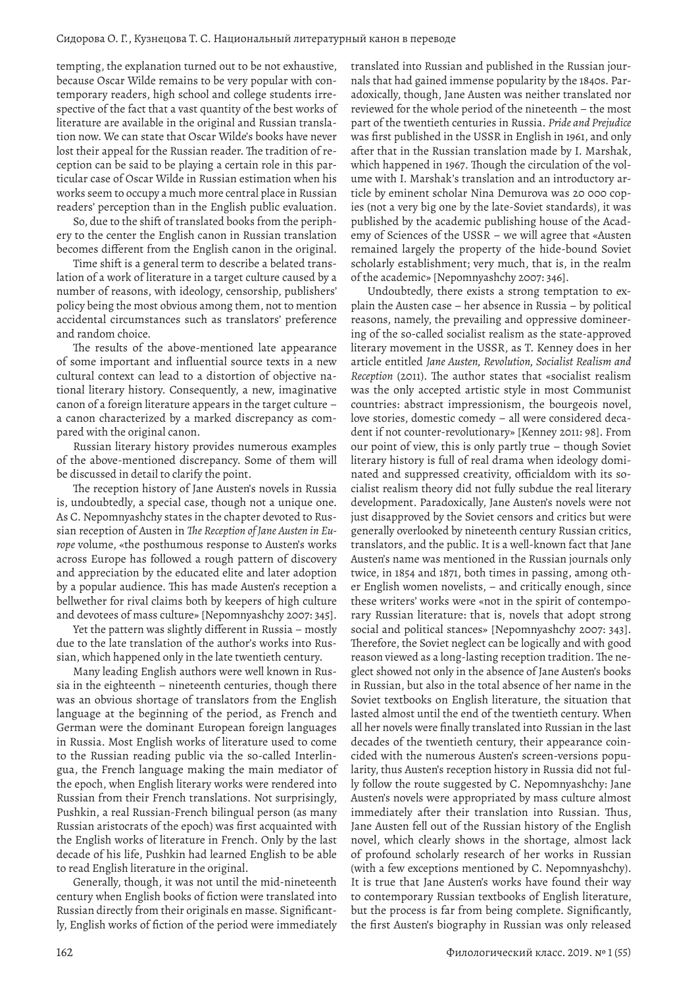tempting, the explanation turned out to be not exhaustive, because Oscar Wilde remains to be very popular with contemporary readers, high school and college students irrespective of the fact that a vast quantity of the best works of literature are available in the original and Russian translation now. We can state that Oscar Wilde's books have never lost their appeal for the Russian reader. The tradition of reception can be said to be playing a certain role in this particular case of Oscar Wilde in Russian estimation when his works seem to occupy a much more central place in Russian readers' perception than in the English public evaluation.

So, due to the shift of translated books from the periphery to the center the English canon in Russian translation becomes different from the English canon in the original.

Time shift is a general term to describe a belated translation of a work of literature in a target culture caused by a number of reasons, with ideology, censorship, publishers' policy being the most obvious among them, not to mention accidental circumstances such as translators' preference and random choice.

The results of the above-mentioned late appearance of some important and influential source texts in a new cultural context can lead to a distortion of objective national literary history. Consequently, a new, imaginative canon of a foreign literature appears in the target culture – a canon characterized by a marked discrepancy as compared with the original canon.

Russian literary history provides numerous examples of the above-mentioned discrepancy. Some of them will be discussed in detail to clarify the point.

The reception history of Jane Austen's novels in Russia is, undoubtedly, a special case, though not a unique one. As C. Nepomnyashchy states in the chapter devoted to Russian reception of Austen in *The Reception of Jane Austen in Europe* volume, «the posthumous response to Austen's works across Europe has followed a rough pattern of discovery and appreciation by the educated elite and later adoption by a popular audience. This has made Austen's reception a bellwether for rival claims both by keepers of high culture and devotees of mass culture» [Nepomnyashchy 2007: 345].

Yet the pattern was slightly different in Russia – mostly due to the late translation of the author's works into Russian, which happened only in the late twentieth century.

Many leading English authors were well known in Russia in the eighteenth – nineteenth centuries, though there was an obvious shortage of translators from the English language at the beginning of the period, as French and German were the dominant European foreign languages in Russia. Most English works of literature used to come to the Russian reading public via the so-called Interlingua, the French language making the main mediator of the epoch, when English literary works were rendered into Russian from their French translations. Not surprisingly, Pushkin, a real Russian-French bilingual person (as many Russian aristocrats of the epoch) was first acquainted with the English works of literature in French. Only by the last decade of his life, Pushkin had learned English to be able to read English literature in the original.

Generally, though, it was not until the mid-nineteenth century when English books of fiction were translated into Russian directly from their originals en masse. Significantly, English works of fiction of the period were immediately translated into Russian and published in the Russian journals that had gained immense popularity by the 1840s. Paradoxically, though, Jane Austen was neither translated nor reviewed for the whole period of the nineteenth – the most part of the twentieth centuries in Russia. *Pride and Prejudice* was first published in the USSR in English in 1961, and only after that in the Russian translation made by I. Marshak, which happened in 1967. Though the circulation of the volume with I. Marshak's translation and an introductory article by eminent scholar Nina Demurova was 20 000 copies (not a very big one by the late-Soviet standards), it was published by the academic publishing house of the Academy of Sciences of the USSR – we will agree that «Austen remained largely the property of the hide-bound Soviet scholarly establishment; very much, that is, in the realm of the academic» [Nepomnyashchy 2007: 346].

Undoubtedly, there exists a strong temptation to explain the Austen case – her absence in Russia – by political reasons, namely, the prevailing and oppressive domineering of the so-called socialist realism as the state-approved literary movement in the USSR, as T. Kenney does in her article entitled *Jane Austen, Revolution, Socialist Realism and Reception* (2011). The author states that «socialist realism was the only accepted artistic style in most Communist countries: abstract impressionism, the bourgeois novel, love stories, domestic comedy – all were considered decadent if not counter-revolutionary» [Kenney 2011: 98]. From our point of view, this is only partly true – though Soviet literary history is full of real drama when ideology dominated and suppressed creativity, officialdom with its socialist realism theory did not fully subdue the real literary development. Paradoxically, Jane Austen's novels were not just disapproved by the Soviet censors and critics but were generally overlooked by nineteenth century Russian critics, translators, and the public. It is a well-known fact that Jane Austen's name was mentioned in the Russian journals only twice, in 1854 and 1871, both times in passing, among other English women novelists, – and critically enough, since these writers' works were «not in the spirit of contemporary Russian literature: that is, novels that adopt strong social and political stances» [Nepomnyashchy 2007: 343]. Therefore, the Soviet neglect can be logically and with good reason viewed as a long-lasting reception tradition. The neglect showed not only in the absence of Jane Austen's books in Russian, but also in the total absence of her name in the Soviet textbooks on English literature, the situation that lasted almost until the end of the twentieth century. When all her novels were finally translated into Russian in the last decades of the twentieth century, their appearance coincided with the numerous Austen's screen-versions popularity, thus Austen's reception history in Russia did not fully follow the route suggested by C. Nepomnyashchy: Jane Austen's novels were appropriated by mass culture almost immediately after their translation into Russian. Thus, Jane Austen fell out of the Russian history of the English novel, which clearly shows in the shortage, almost lack of profound scholarly research of her works in Russian (with a few exceptions mentioned by C. Nepomnyashchy). It is true that Jane Austen's works have found their way to contemporary Russian textbooks of English literature, but the process is far from being complete. Significantly, the first Austen's biography in Russian was only released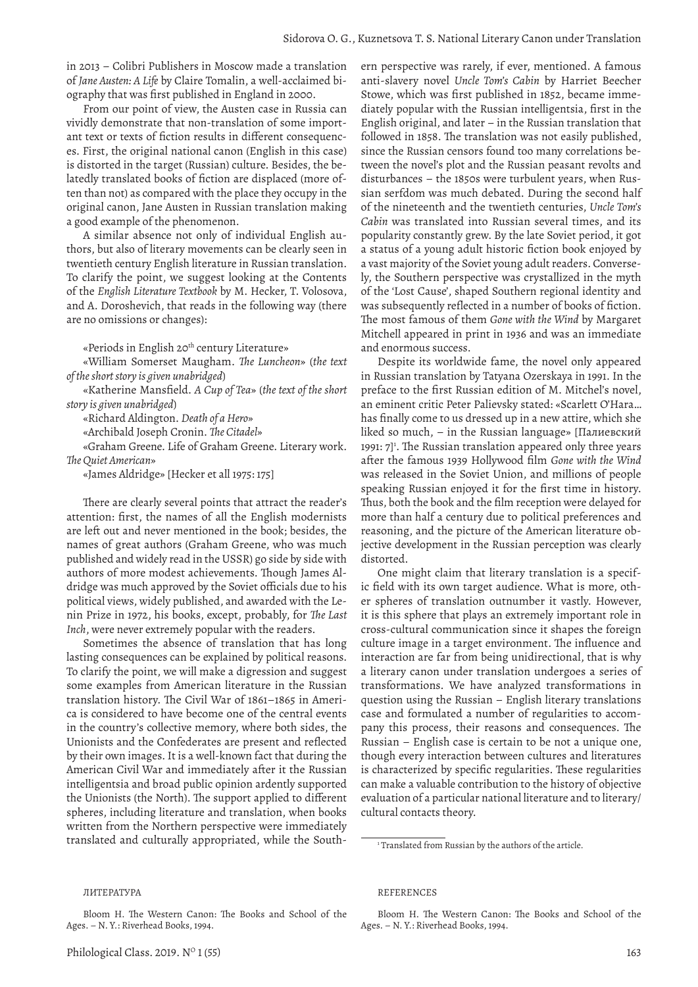in 2013 – Colibri Publishers in Moscow made a translation of *Jane Austen: A Life* by Claire Tomalin, a well-acclaimed biography that was first published in England in 2000.

From our point of view, the Austen case in Russia can vividly demonstrate that non-translation of some important text or texts of fiction results in different consequences. First, the original national canon (English in this case) is distorted in the target (Russian) culture. Besides, the belatedly translated books of fiction are displaced (more often than not) as compared with the place they occupy in the original canon, Jane Austen in Russian translation making a good example of the phenomenon.

A similar absence not only of individual English authors, but also of literary movements can be clearly seen in twentieth century English literature in Russian translation. To clarify the point, we suggest looking at the Contents of the *English Literature Textbook* by M. Hecker, T. Volosova, and A. Doroshevich, that reads in the following way (there are no omissions or changes):

«Periods in English 20<sup>th</sup> century Literature»

«William Somerset Maugham. *The Luncheon*» (*the text of the short story is given unabridged*)

«Katherine Mansfield. *A Cup of Tea*» (*the text of the short story is given unabridged*)

«Richard Aldington. *Death of a Hero*»

«Archibald Joseph Cronin. *The Citadel*»

«Graham Greene. Life of Graham Greene. Literary work. *The Quiet American*»

«James Aldridge» [Hecker et all 1975: 175]

There are clearly several points that attract the reader's attention: first, the names of all the English modernists are left out and never mentioned in the book; besides, the names of great authors (Graham Greene, who was much published and widely read in the USSR) go side by side with authors of more modest achievements. Though James Aldridge was much approved by the Soviet officials due to his political views, widely published, and awarded with the Lenin Prize in 1972, his books, except, probably, for *The Last Inch*, were never extremely popular with the readers.

Sometimes the absence of translation that has long lasting consequences can be explained by political reasons. To clarify the point, we will make a digression and suggest some examples from American literature in the Russian translation history. The Civil War of 1861–1865 in America is considered to have become one of the central events in the country's collective memory, where both sides, the Unionists and the Confederates are present and reflected by their own images. It is a well-known fact that during the American Civil War and immediately after it the Russian intelligentsia and broad public opinion ardently supported the Unionists (the North). The support applied to different spheres, including literature and translation, when books written from the Northern perspective were immediately translated and culturally appropriated, while the Southern perspective was rarely, if ever, mentioned. A famous anti-slavery novel *Uncle Tom's Cabin* by Harriet Beecher Stowe, which was first published in 1852, became immediately popular with the Russian intelligentsia, first in the English original, and later – in the Russian translation that followed in 1858. The translation was not easily published, since the Russian censors found too many correlations between the novel's plot and the Russian peasant revolts and disturbances – the 1850s were turbulent years, when Russian serfdom was much debated. During the second half of the nineteenth and the twentieth centuries, *Uncle Tom's Cabin* was translated into Russian several times, and its popularity constantly grew. By the late Soviet period, it got a status of a young adult historic fiction book enjoyed by a vast majority of the Soviet young adult readers. Conversely, the Southern perspective was crystallized in the myth of the 'Lost Cause', shaped Southern regional identity and was subsequently reflected in a number of books of fiction. The most famous of them *Gone with the Wind* by Margaret Mitchell appeared in print in 1936 and was an immediate and enormous success.

Despite its worldwide fame, the novel only appeared in Russian translation by Tatyana Ozerskaya in 1991. In the preface to the first Russian edition of M. Mitchel's novel, an eminent critic Peter Palievsky stated: «Scarlett O'Hara… has finally come to us dressed up in a new attire, which she liked so much, – in the Russian language» [Палиевский 1991: 7]<sup>1</sup>. The Russian translation appeared only three years after the famous 1939 Hollywood film *Gone with the Wind* was released in the Soviet Union, and millions of people speaking Russian enjoyed it for the first time in history. Thus, both the book and the film reception were delayed for more than half a century due to political preferences and reasoning, and the picture of the American literature objective development in the Russian perception was clearly distorted.

One might claim that literary translation is a specific field with its own target audience. What is more, other spheres of translation outnumber it vastly. However, it is this sphere that plays an extremely important role in cross-cultural communication since it shapes the foreign culture image in a target environment. The influence and interaction are far from being unidirectional, that is why a literary canon under translation undergoes a series of transformations. We have analyzed transformations in question using the Russian – English literary translations case and formulated a number of regularities to accompany this process, their reasons and consequences. The Russian – English case is certain to be not a unique one, though every interaction between cultures and literatures is characterized by specific regularities. These regularities can make a valuable contribution to the history of objective evaluation of a particular national literature and to literary/ cultural contacts theory.

### REFERENCES

Bloom H. The Western Canon: The Books and School of the Ages. – N. Y.: Riverhead Books, 1994.

ЛИТЕРАТУРА

<sup>&</sup>lt;sup>1</sup> Translated from Russian by the authors of the article.

Bloom H. The Western Canon: The Books and School of the Ages. – N. Y.: Riverhead Books, 1994.